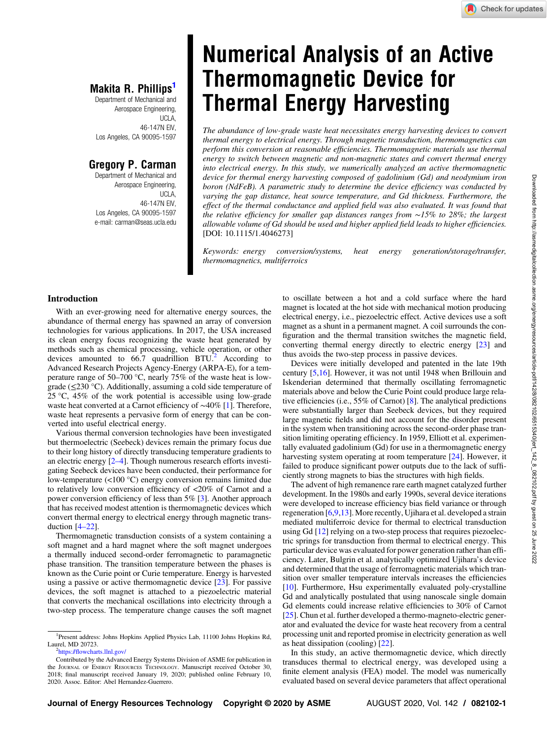## **IVIAKITA R. PHILLIPS**<br>Department of Mechanical and

Aerospace Engineering, UCLA, 46-147N EIV, Los Angeles, CA 90095-1597

Department of Mechanical and Aerospace Engineering, UCLA, 46-147N EIV, Los Angeles, CA 90095-1597 e-mail: [carman@seas.ucla.edu](mailto:carman@seas.ucla.edu)

# **Numerical Analysis of an Active<br>Thermomagnetic Device for Thermal Energy Harvesting**

The abundance of low-grade waste heat necessitates energy harvesting devices to convert thermal energy to electrical energy. Through magnetic transduction, thermomagnetics can perform this conversion at reasonable efficiencies. Thermomagnetic materials use thermal energy to switch between magnetic and non-magnetic states and convert thermal energy into electrical energy. In this study, we numerically analyzed an active thermomagnetic device for thermal energy harvesting composed of gadolinium (Gd) and neodymium iron boron (NdFeB). A parametric study to determine the device efficiency was conducted by varying the gap distance, heat source temperature, and Gd thickness. Furthermore, the effect of the thermal conductance and applied field was also evaluated. It was found that the relative efficiency for smaller gap distances ranges from ∼15% to 28%; the largest allowable volume of Gd should be used and higher applied field leads to higher efficiencies. [DOI: 10.1115/1.4046273]

Keywords: energy conversion/systems, heat energy generation/storage/transfer, thermomagnetics, multiferroics

#### Introduction

With an ever-growing need for alternative energy sources, the abundance of thermal energy has spawned an array of conversion technologies for various applications. In 2017, the USA increased its clean energy focus recognizing the waste heat generated by methods such as chemical processing, vehicle operation, or other devices amounted to  $66.7$  quadrillion  $BTU<sup>2</sup>$  According to Advanced Research Projects Agency-Energy (ARPA-E), for a temperature range of 50–700 °C, nearly 75% of the waste heat is lowgrade (≤230 °C). Additionally, assuming a cold side temperature of 25  $\degree$ C, 45% of the work potential is accessible using low-grade waste heat converted at a Carnot efficiency of ∼40% [\[1\]](#page-7-0). Therefore, waste heat represents a pervasive form of energy that can be converted into useful electrical energy.

Various thermal conversion technologies have been investigated but thermoelectric (Seebeck) devices remain the primary focus due to their long history of directly transducing temperature gradients to an electric energy [2–4]. Though numerous research efforts investigating Seebeck devices have been conducted, their performance for low-temperature (<100 °C) energy conversion remains limited due to relatively low conversion efficiency of <20% of Carnot and a power conversion efficiency of less than 5% [[3](#page-7-0)]. Another approach that has received modest attention is thermomagnetic devices which convert thermal energy to electrical energy through magnetic transduction [4–22].

Thermomagnetic transduction consists of a system containing a soft magnet and a hard magnet where the soft magnet undergoes a thermally induced second-order ferromagnetic to paramagnetic phase transition. The transition temperature between the phases is known as the Curie point or Curie temperature. Energy is harvested using a passive or active thermomagnetic device [[23\]](#page-7-0). For passive devices, the soft magnet is attached to a piezoelectric material that converts the mechanical oscillations into electricity through a two-step process. The temperature change causes the soft magnet to oscillate between a hot and a cold surface where the hard magnet is located at the hot side with mechanical motion producing electrical energy, i.e., piezoelectric effect. Active devices use a soft magnet as a shunt in a permanent magnet. A coil surrounds the configuration and the thermal transition switches the magnetic field, converting thermal energy directly to electric energy [\[23](#page-7-0)] and thus avoids the two-step process in passive devices.

Devices were initially developed and patented in the late 19th century [\[5,16\]](#page-7-0). However, it was not until 1948 when Brillouin and Iskenderian determined that thermally oscillating ferromagnetic materials above and below the Curie Point could produce large relative efficiencies (i.e., 55% of Carnot) [\[8\]](#page-7-0). The analytical predictions were substantially larger than Seebeck devices, but they required large magnetic fields and did not account for the disorder present in the system when transitioning across the second-order phase transition limiting operating efficiency. In 1959, Elliott et al. experimentally evaluated gadolinium (Gd) for use in a thermomagnetic energy harvesting system operating at room temperature [[24\]](#page-7-0). However, it failed to produce significant power outputs due to the lack of sufficiently strong magnets to bias the structures with high fields.

The advent of high remanence rare earth magnet catalyzed further development. In the 1980s and early 1990s, several device iterations were developed to increase efficiency bias field variance or through regeneration [[6,9,13](#page-7-0)]. More recently, Ujihara et al. developed a strain mediated multiferroic device for thermal to electrical transduction using Gd [\[12](#page-7-0)] relying on a two-step process that requires piezoelectric springs for transduction from thermal to electrical energy. This particular device was evaluated for power generation rather than efficiency. Later, Bulgrin et al. analytically optimized Ujihara's device and determined that the usage of ferromagnetic materials which transition over smaller temperature intervals increases the efficiencies [[10\]](#page-7-0). Furthermore, Hsu experimentally evaluated poly-crystalline Gd and analytically postulated that using nanoscale single domain Gd elements could increase relative efficiencies to 30% of Carnot [[25\]](#page-7-0). Chun et al. further developed a thermo-magneto-electric generator and evaluated the device for waste heat recovery from a central processing unit and reported promise in electricity generation as well as heat dissipation (cooling) [[22\]](#page-7-0).

In this study, an active thermomagnetic device, which directly transduces thermal to electrical energy, was developed using a finite element analysis (FEA) model. The model was numerically evaluated based on several device parameters that affect operational

<sup>&</sup>lt;sup>1</sup>Present address: Johns Hopkins Applied Physics Lab, 11100 Johns Hopkins Rd, Laurel, MD 20723.

[https:/](https://flowcharts.llnl.gov/)/fl[owcharts.llnl.gov/](https://flowcharts.llnl.gov/)

Contributed by the Advanced Energy Systems Division of ASME for publication in the JOURNAL OF ENERGY RESOURCES TECHNOLOGY. Manuscript received October 30, 2018; final manuscript received January 19, 2020; published online February 10, 2020. Assoc. Editor: Abel Hernandez-Guerrero.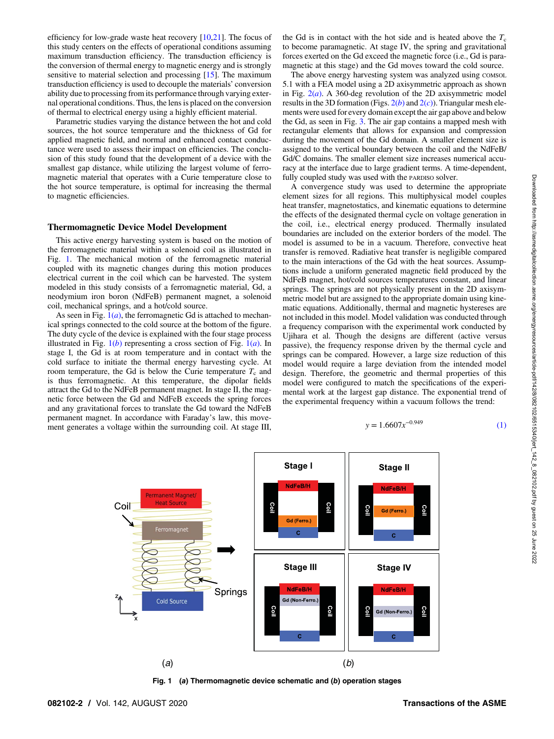efficiency for low-grade waste heat recovery  $[10,21]$  $[10,21]$ . The focus of this study centers on the effects of operational conditions assuming maximum transduction efficiency. The transduction efficiency is the conversion of thermal energy to magnetic energy and is strongly sensitive to material selection and processing [\[15](#page-7-0)]. The maximum transduction efficiency is used to decouple the materials' conversion ability due to processing from its performance through varying external operational conditions. Thus, the lens is placed on the conversion of thermal to electrical energy using a highly efficient material.

Parametric studies varying the distance between the hot and cold sources, the hot source temperature and the thickness of Gd for applied magnetic field, and normal and enhanced contact conductance were used to assess their impact on efficiencies. The conclusion of this study found that the development of a device with the smallest gap distance, while utilizing the largest volume of ferromagnetic material that operates with a Curie temperature close to the hot source temperature, is optimal for increasing the thermal to magnetic efficiencies.

#### Thermomagnetic Device Model Development

This active energy harvesting system is based on the motion of the ferromagnetic material within a solenoid coil as illustrated in Fig. 1. The mechanical motion of the ferromagnetic material coupled with its magnetic changes during this motion produces electrical current in the coil which can be harvested. The system modeled in this study consists of a ferromagnetic material, Gd, a neodymium iron boron (NdFeB) permanent magnet, a solenoid coil, mechanical springs, and a hot/cold source.

As seen in Fig.  $1(a)$ , the ferromagnetic Gd is attached to mechanical springs connected to the cold source at the bottom of the figure. The duty cycle of the device is explained with the four stage process illustrated in Fig.  $1(b)$  representing a cross section of Fig.  $1(a)$ . In stage I, the Gd is at room temperature and in contact with the cold surface to initiate the thermal energy harvesting cycle. At room temperature, the Gd is below the Curie temperature  $T_c$  and is thus ferromagnetic. At this temperature, the dipolar fields attract the Gd to the NdFeB permanent magnet. In stage II, the magnetic force between the Gd and NdFeB exceeds the spring forces and any gravitational forces to translate the Gd toward the NdFeB permanent magnet. In accordance with Faraday's law, this movement generates a voltage within the surrounding coil. At stage III, the Gd is in contact with the hot side and is heated above the  $T_c$ to become paramagnetic. At stage IV, the spring and gravitational forces exerted on the Gd exceed the magnetic force (i.e., Gd is paramagnetic at this stage) and the Gd moves toward the cold source.

The above energy harvesting system was analyzed using COMSOL 5.1 with a FEA model using a 2D axisymmetric approach as shown in Fig.  $2(a)$  $2(a)$ . A 360-deg revolution of the 2D axisymmetric model results in the 3D formation (Figs.  $2(b)$  $2(b)$  and  $2(c)$ ). Triangular mesh elements were used for every domain except the air gap above and below the Gd, as seen in Fig. [3.](#page-2-0) The air gap contains a mapped mesh with rectangular elements that allows for expansion and compression during the movement of the Gd domain. A smaller element size is assigned to the vertical boundary between the coil and the NdFeB/ Gd/C domains. The smaller element size increases numerical accuracy at the interface due to large gradient terms. A time-dependent, fully coupled study was used with the PARDISO solver.

A convergence study was used to determine the appropriate element sizes for all regions. This multiphysical model couples heat transfer, magnetostatics, and kinematic equations to determine the effects of the designated thermal cycle on voltage generation in the coil, i.e., electrical energy produced. Thermally insulated boundaries are included on the exterior borders of the model. The model is assumed to be in a vacuum. Therefore, convective heat transfer is removed. Radiative heat transfer is negligible compared to the main interactions of the Gd with the heat sources. Assumptions include a uniform generated magnetic field produced by the NdFeB magnet, hot/cold sources temperatures constant, and linear springs. The springs are not physically present in the 2D axisymmetric model but are assigned to the appropriate domain using kinematic equations. Additionally, thermal and magnetic hystereses are not included in this model. Model validation was conducted through a frequency comparison with the experimental work conducted by Ujihara et al. Though the designs are different (active versus passive), the frequency response driven by the thermal cycle and springs can be compared. However, a large size reduction of this model would require a large deviation from the intended model design. Therefore, the geometric and thermal properties of this model were configured to match the specifications of the experimental work at the largest gap distance. The exponential trend of the experimental frequency within a vacuum follows the trend:

$$
y = 1.6607x^{-0.949} \tag{1}
$$



Fig. 1 (a) Thermomagnetic device schematic and (b) operation stages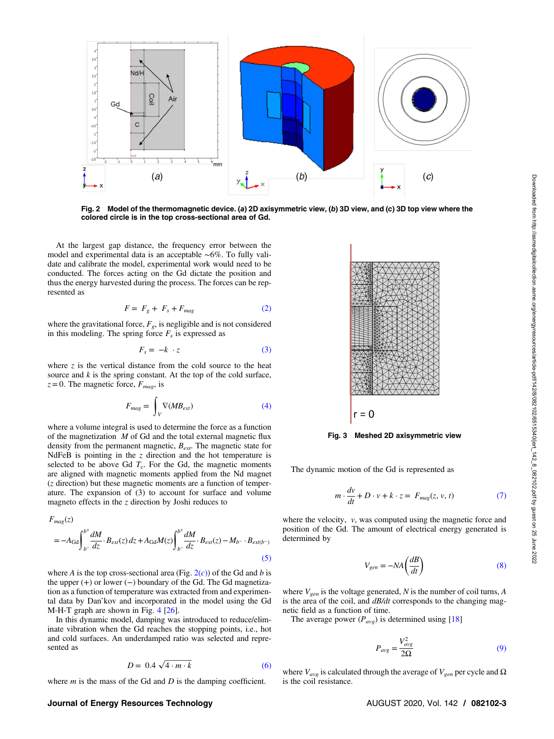<span id="page-2-0"></span>

Fig. 2 Model of the thermomagnetic device. (a) 2D axisymmetric view, (b) 3D view, and (c) 3D top view where the colored circle is in the top cross-sectional area of Gd.

At the largest gap distance, the frequency error between the model and experimental data is an acceptable ∼6%. To fully validate and calibrate the model, experimental work would need to be conducted. The forces acting on the Gd dictate the position and thus the energy harvested during the process. The forces can be represented as

$$
F = F_g + F_s + F_{mag} \tag{2}
$$

where the gravitational force,  $F_{g}$ , is negligible and is not considered in this modeling. The spring force  $F_s$  is expressed as

$$
F_s = -k \cdot z \tag{3}
$$

where  $z$  is the vertical distance from the cold source to the heat source and  $k$  is the spring constant. At the top of the cold surface,  $z=0$ . The magnetic force,  $F_{mag}$ , is

$$
F_{mag} = \int_{V} \nabla(MB_{ext})
$$
 (4)

where a volume integral is used to determine the force as a function of the magnetization  $M$  of Gd and the total external magnetic flux density from the permanent magnetic,  $B_{ext}$ . The magnetic state for NdFeB is pointing in the  $z$  direction and the hot temperature is selected to be above Gd  $T_c$ . For the Gd, the magnetic moments are aligned with magnetic moments applied from the Nd magnet (z direction) but these magnetic moments are a function of temperature. The expansion of (3) to account for surface and volume magneto effects in the  $z$  direction by Joshi reduces to

$$
F_{mag}(z)
$$
  
=  $-A_{\text{Gd}} \int_{b^{-}}^{b^{+}} \frac{dM}{dz} \cdot B_{ext}(z) dz + A_{\text{Gd}} M(z) \int_{b^{-}}^{b^{+}} \frac{dM}{dz} \cdot B_{ext}(z) - M_{b^{-}} \cdot B_{ext(b^{-})}$  (5)

where A is the top cross-sectional area (Fig.  $2(c)$ ) of the Gd and b is the upper  $(+)$  or lower  $(-)$  boundary of the Gd. The Gd magnetization as a function of temperature was extracted from and experimental data by Dan'kov and incorporated in the model using the Gd M-H-T graph are shown in Fig. [4](#page-3-0) [[26\]](#page-7-0).

In this dynamic model, damping was introduced to reduce/eliminate vibration when the Gd reaches the stopping points, i.e., hot and cold surfaces. An underdamped ratio was selected and represented as

$$
D = 0.4\sqrt{4 \cdot m \cdot k} \tag{6}
$$

where  $m$  is the mass of the Gd and  $D$  is the damping coefficient.

#### Journal of Energy Resources Technology **AUGUST 2020, Vol. 142 / 082102-3** AUGUST 2020, Vol. 142 / 082102-3



Fig. 3 Meshed 2D axisymmetric view

The dynamic motion of the Gd is represented as

$$
m \cdot \frac{dv}{dt} + D \cdot v + k \cdot z = F_{mag}(z, v, t)
$$
 (7)

where the velocity,  $v$ , was computed using the magnetic force and position of the Gd. The amount of electrical energy generated is determined by

$$
V_{gen} = -NA \left(\frac{dB}{dt}\right) \tag{8}
$$

where  $V_{gen}$  is the voltage generated, N is the number of coil turns, A is the area of the coil, and  $dB/dt$  corresponds to the changing magnetic field as a function of time.

The average power  $(P_{avg})$  is determined using [[18\]](#page-7-0)

$$
P_{avg} = \frac{V_{avg}^2}{2\Omega} \tag{9}
$$

where  $V_{avg}$  is calculated through the average of  $V_{gen}$  per cycle and  $\Omega$ is the coil resistance.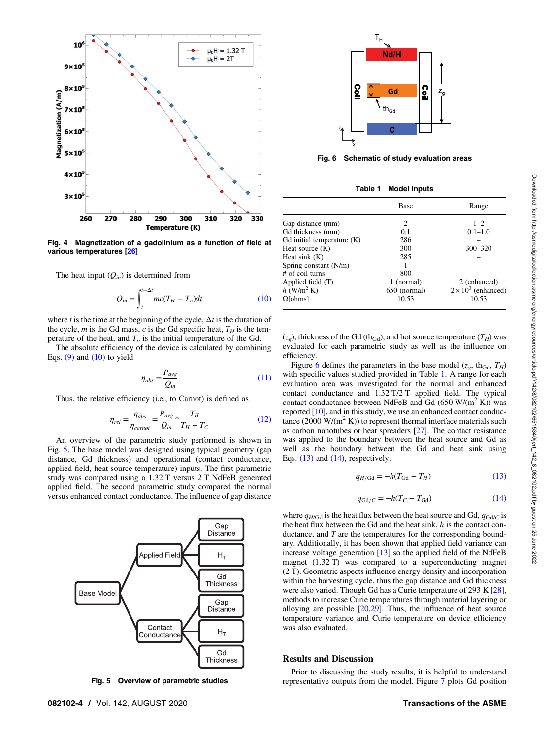<span id="page-3-0"></span>

Fig. 4 Magnetization of a gadolinium as a function of field at various temperatures [\[26](#page-7-0)]

The heat input  $(Q_{in})$  is determined from

$$
Q_{in} = \int_{t}^{t + \Delta t} mc(T_H - T_o) dt
$$
 (10)

where t is the time at the beginning of the cycle,  $\Delta t$  is the duration of the cycle, m is the Gd mass, c is the Gd specific heat,  $T_H$  is the temperature of the heat, and  $T<sub>o</sub>$  is the initial temperature of the Gd.

The absolute efficiency of the device is calculated by combining Eqs.  $(9)$  and  $(10)$  to yield

$$
\eta_{abs} = \frac{P_{avg}}{Q_{in}} \tag{11}
$$

Thus, the relative efficiency (i.e., to Carnot) is defined as

$$
\eta_{rel} = \frac{\eta_{abs}}{\eta_{carnot}} = \frac{P_{avg}}{Q_{in}} * \frac{T_H}{T_H - T_C}
$$
(12)

An overview of the parametric study performed is shown in Fig. 5. The base model was designed using typical geometry (gap distance, Gd thickness) and operational (contact conductance, applied field, heat source temperature) inputs. The first parametric study was compared using a 1.32 T versus 2 T NdFeB generated applied field. The second parametric study compared the normal versus enhanced contact conductance. The influence of gap distance



Fig. 5 Overview of parametric studies



Fig. 6 Schematic of study evaluation areas

|  | Table 1 |  | <b>Model inputs</b> |  |
|--|---------|--|---------------------|--|
|--|---------|--|---------------------|--|

|                              | Base         | Range                      |
|------------------------------|--------------|----------------------------|
| Gap distance (mm)            | 2            | $1 - 2$                    |
| Gd thickness (mm)            | 0.1          | $0.1 - 1.0$                |
| Gd initial temperature $(K)$ | 286          |                            |
| Heat source $(K)$            | 300          | $300 - 320$                |
| Heat sink $(K)$              | 285          |                            |
| Spring constant (N/m)        |              |                            |
| # of coil turns              | 800          |                            |
| Applied field (T)            | 1 (normal)   | 2 (enhanced)               |
| $h$ (W/m <sup>2</sup> K)     | 650 (normal) | $2 \times 10^3$ (enhanced) |
| $\Omega$ [ohms]              | 10.53        | 10.53                      |

 $(z_g)$ , thickness of the Gd (th<sub>Gd</sub>), and hot source temperature  $(T_H)$  was evaluated for each parametric study as well as the influence on efficiency.

Figure 6 defines the parameters in the base model ( $z_g$ , th<sub>Gd</sub>,  $T_H$ ) with specific values studied provided in Table 1. A range for each evaluation area was investigated for the normal and enhanced contact conductance and 1.32 T/2 T applied field. The typical contact conductance between NdFeB and Gd  $(650 \text{ W/(m}^2 \text{ K}))$  was reported [\[10](#page-7-0)], and in this study, we use an enhanced contact conductance (2000 W/( $m^2 K$ )) to represent thermal interface materials such as carbon nanotubes or heat spreaders [\[27](#page-7-0)]. The contact resistance was applied to the boundary between the heat source and Gd as well as the boundary between the Gd and heat sink using Eqs.  $(13)$  and  $(14)$ , respectively.

$$
q_{H/\text{Gd}} = -h(T_{\text{Gd}} - T_H) \tag{13}
$$

$$
q_{\text{Gd}/C} = -h(T_C - T_{\text{Gd}}) \tag{14}
$$

where  $q_{H/Gd}$  is the heat flux between the heat source and Gd,  $q_{Gd/C}$  is the heat flux between the Gd and the heat sink,  $h$  is the contact conductance, and  $T$  are the temperatures for the corresponding boundary. Additionally, it has been shown that applied field variance can increase voltage generation  $[13]$  $[13]$  so the applied field of the NdFeB magnet  $(1.32 \text{ T})$  was compared to a superconducting magnet (2 T). Geometric aspects influence energy density and incorporation within the harvesting cycle, thus the gap distance and Gd thickness were also varied. Though Gd has a Curie temperature of 293 K [[28\]](#page-7-0), methods to increase Curie temperatures through material layering or alloying are possible  $[20,29]$  $[20,29]$ . Thus, the influence of heat source temperature variance and Curie temperature on device efficiency was also evaluated.

#### Results and Discussion

Prior to discussing the study results, it is helpful to understand representative outputs from the model. Figure [7](#page-4-0) plots Gd position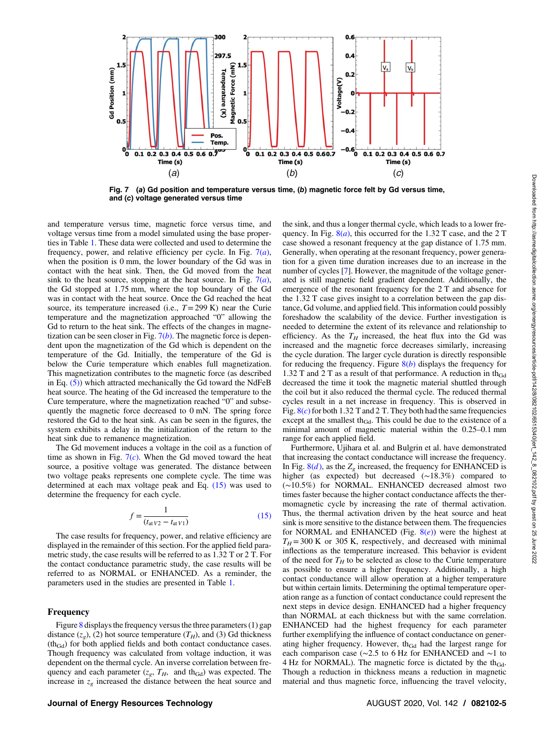<span id="page-4-0"></span>

Fig. 7 (a) Gd position and temperature versus time, (b) magnetic force felt by Gd versus time, and (c) voltage generated versus time

and temperature versus time, magnetic force versus time, and voltage versus time from a model simulated using the base properties in Table [1](#page-3-0). These data were collected and used to determine the frequency, power, and relative efficiency per cycle. In Fig.  $7(a)$ , when the position is 0 mm, the lower boundary of the Gd was in contact with the heat sink. Then, the Gd moved from the heat sink to the heat source, stopping at the heat source. In Fig.  $7(a)$ , the Gd stopped at 1.75 mm, where the top boundary of the Gd was in contact with the heat source. Once the Gd reached the heat source, its temperature increased (i.e.,  $T = 299$  K) near the Curie temperature and the magnetization approached "0" allowing the Gd to return to the heat sink. The effects of the changes in magnetization can be seen closer in Fig.  $7(b)$ . The magnetic force is dependent upon the magnetization of the Gd which is dependent on the temperature of the Gd. Initially, the temperature of the Gd is below the Curie temperature which enables full magnetization. This magnetization contributes to the magnetic force (as described in Eq.  $(5)$ ) which attracted mechanically the Gd toward the NdFeB heat source. The heating of the Gd increased the temperature to the Cure temperature, where the magnetization reached "0" and subsequently the magnetic force decreased to 0 mN. The spring force restored the Gd to the heat sink. As can be seen in the figures, the system exhibits a delay in the initialization of the return to the heat sink due to remanence magnetization.

The Gd movement induces a voltage in the coil as a function of time as shown in Fig.  $7(c)$ . When the Gd moved toward the heat source, a positive voltage was generated. The distance between two voltage peaks represents one complete cycle. The time was determined at each max voltage peak and Eq. (15) was used to determine the frequency for each cycle.

$$
f = \frac{1}{(t_{\text{at }V2} - t_{\text{at }V1})}
$$
(15)

The case results for frequency, power, and relative efficiency are displayed in the remainder of this section. For the applied field parametric study, the case results will be referred to as 1.32 T or 2 T. For the contact conductance parametric study, the case results will be referred to as NORMAL or ENHANCED. As a reminder, the parameters used in the studies are presented in Table [1.](#page-3-0)

#### Frequency

Figure [8](#page-5-0) displays the frequency versus the three parameters (1) gap distance  $(z_g)$ , (2) hot source temperature  $(T_H)$ , and (3) Gd thickness  $(th<sub>Gd</sub>)$  for both applied fields and both contact conductance cases. Though frequency was calculated from voltage induction, it was dependent on the thermal cycle. An inverse correlation between frequency and each parameter  $(z_g, T_H, \text{ and } th_{Gd})$  was expected. The increase in  $z_g$  increased the distance between the heat source and

the sink, and thus a longer thermal cycle, which leads to a lower frequency. In Fig.  $8(a)$  $8(a)$ , this occurred for the 1.32 T case, and the 2 T case showed a resonant frequency at the gap distance of 1.75 mm. Generally, when operating at the resonant frequency, power generation for a given time duration increases due to an increase in the number of cycles [[7](#page-7-0)]. However, the magnitude of the voltage generated is still magnetic field gradient dependent. Additionally, the emergence of the resonant frequency for the 2 T and absence for the 1.32 T case gives insight to a correlation between the gap distance, Gd volume, and applied field. This information could possibly foreshadow the scalability of the device. Further investigation is needed to determine the extent of its relevance and relationship to efficiency. As the  $T_H$  increased, the heat flux into the Gd was increased and the magnetic force decreases similarly, increasing the cycle duration. The larger cycle duration is directly responsible for reducing the frequency. Figure  $8(b)$  $8(b)$  displays the frequency for 1.32 T and 2 T as a result of that performance. A reduction in th<sub>Gd</sub> decreased the time it took the magnetic material shuttled through the coil but it also reduced the thermal cycle. The reduced thermal cycles result in a net increase in frequency. This is observed in Fig.  $8(c)$  $8(c)$  for both 1.32 T and 2 T. They both had the same frequencies except at the smallest th<sub>Gd</sub>. This could be due to the existence of a minimal amount of magnetic material within the 0.25–0.1 mm range for each applied field.

Furthermore, Ujihara et al. and Bulgrin et al. have demonstrated that increasing the contact conductance will increase the frequency. In Fig.  $8(d)$  $8(d)$ , as the  $Z_g$  increased, the frequency for ENHANCED is higher (as expected) but decreased (∼18.3%) compared to (∼10.5%) for NORMAL. ENHANCED decreased almost two times faster because the higher contact conductance affects the thermomagnetic cycle by increasing the rate of thermal activation. Thus, the thermal activation driven by the heat source and heat sink is more sensitive to the distance between them. The frequencies for NORMAL and ENHANCED (Fig.  $8(e)$  $8(e)$ ) were the highest at  $T_H$  = 300 K or 305 K, respectively, and decreased with minimal inflections as the temperature increased. This behavior is evident of the need for  $T_H$  to be selected as close to the Curie temperature as possible to ensure a higher frequency. Additionally, a high contact conductance will allow operation at a higher temperature but within certain limits. Determining the optimal temperature operation range as a function of contact conductance could represent the next steps in device design. ENHANCED had a higher frequency than NORMAL at each thickness but with the same correlation. ENHANCED had the highest frequency for each parameter further exemplifying the influence of contact conductance on generating higher frequency. However, th $_{Gd}$  had the largest range for each comparison case (∼2.5 to 6 Hz for ENHANCED and ∼1 to 4 Hz for NORMAL). The magnetic force is dictated by the th $_{Gd}$ . Though a reduction in thickness means a reduction in magnetic material and thus magnetic force, influencing the travel velocity,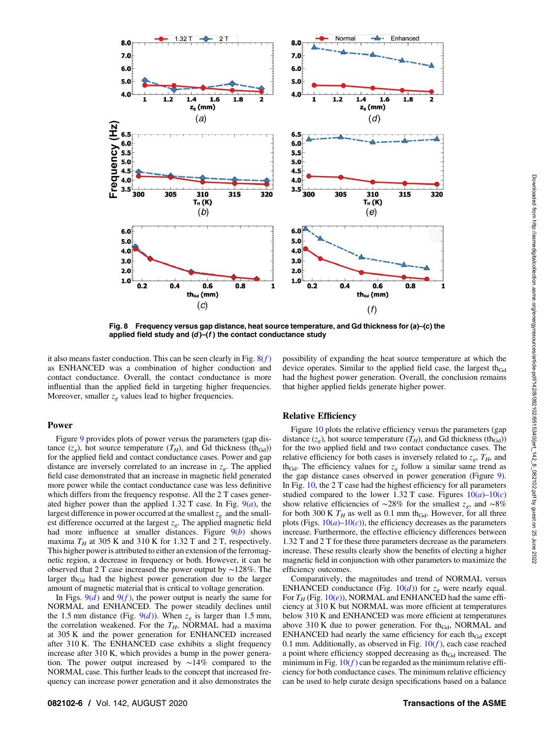<span id="page-5-0"></span>

Fig. 8 Frequency versus gap distance, heat source temperature, and Gd thickness for  $(a)$ –(c) the applied field study and  $(d)$ – $(f)$  the contact conductance study

it also means faster conduction. This can be seen clearly in Fig.  $8(f)$ as ENHANCED was a combination of higher conduction and contact conductance. Overall, the contact conductance is more influential than the applied field in targeting higher frequencies. Moreover, smaller  $z_e$  values lead to higher frequencies.

#### Power

Figure [9](#page-6-0) provides plots of power versus the parameters (gap distance  $(z<sub>o</sub>)$ , hot source temperature  $(T_H)$ , and Gd thickness (th<sub>Gd</sub>)) for the applied field and contact conductance cases. Power and gap distance are inversely correlated to an increase in  $z<sub>g</sub>$ . The applied field case demonstrated that an increase in magnetic field generated more power while the contact conductance case was less definitive which differs from the frequency response. All the 2 T cases generated higher power than the applied 1.32 T case. In Fig.  $9(a)$  $9(a)$ , the largest difference in power occurred at the smallest  $z_g$  and the smallest difference occurred at the largest  $z_g$ . The applied magnetic field had more influence at smaller distances. Figure  $9(b)$  $9(b)$  shows maxima  $T_H$  at 305 K and 310 K for 1.32 T and 2 T, respectively. This higher power is attributed to either an extension of the ferromagnetic region, a decrease in frequency or both. However, it can be observed that 2 T case increased the power output by ∼128%. The larger th<sub>Gd</sub> had the highest power generation due to the larger amount of magnetic material that is critical to voltage generation.

In Figs.  $9(d)$  $9(d)$  and  $9(f)$ , the power output is nearly the same for NORMAL and ENHANCED. The power steadily declines until the 1.5 mm distance (Fig.  $9(d)$  $9(d)$ ). When  $z_g$  is larger than 1.5 mm, the correlation weakened. For the  $T_H$ , NORMAL had a maxima at 305 K and the power generation for ENHANCED increased after 310 K. The ENHANCED case exhibits a slight frequency increase after 310 K, which provides a bump in the power generation. The power output increased by ∼14% compared to the NORMAL case. This further leads to the concept that increased frequency can increase power generation and it also demonstrates the

### possibility of expanding the heat source temperature at which the device operates. Similar to the applied field case, the largest th $_{Gd}$ had the highest power generation. Overall, the conclusion remains that higher applied fields generate higher power.

#### Relative Efficiency

Figure [10](#page-6-0) plots the relative efficiency versus the parameters (gap distance  $(z_g)$ , hot source temperature  $(T_H)$ , and Gd thickness (th<sub>Gd</sub>)) for the two applied field and two contact conductance cases. The relative efficiency for both cases is inversely related to  $z_g$ ,  $T_H$ , and th<sub>Gd</sub>. The efficiency values for  $z_g$  follow a similar same trend as the gap distance cases observed in power generation (Figure [9\)](#page-6-0). In Fig. [10,](#page-6-0) the 2 T case had the highest efficiency for all parameters studied compared to the lower 1.32 T case. Figures  $10(a)-10(c)$  $10(a)-10(c)$ show relative efficiencies of ~28% for the smallest  $z_g$ , and ~8% for both 300 K  $T_H$  as well as 0.1 mm th<sub>Gd</sub>. However, for all three plots (Figs.  $10(a)-10(c)$  $10(a)-10(c)$ ), the efficiency decreases as the parameters increase. Furthermore, the effective efficiency differences between 1.32 T and 2 T for these three parameters decrease as the parameters increase. These results clearly show the benefits of electing a higher magnetic field in conjunction with other parameters to maximize the efficiency outcomes.

Comparatively, the magnitudes and trend of NORMAL versus ENHANCED conductance (Fig.  $10(d)$  $10(d)$ ) for  $z_g$  were nearly equal. For  $T_H$  (Fig. [10\(](#page-6-0)*e*)), NORMAL and ENHANCED had the same efficiency at 310 K but NORMAL was more efficient at temperatures below 310 K and ENHANCED was more efficient at temperatures above 310 K due to power generation. For th<sub>Gd</sub>, NORMAL and ENHANCED had nearly the same efficiency for each th $_{Gd}$  except 0.1 mm. Additionally, as observed in Fig.  $10(f)$  $10(f)$ , each case reached a point where efficiency stopped decreasing as th $_{Gd}$  increased. The minimum in Fig.  $10(f)$  $10(f)$  can be regarded as the minimum relative efficiency for both conductance cases. The minimum relative efficiency can be used to help curate design specifications based on a balance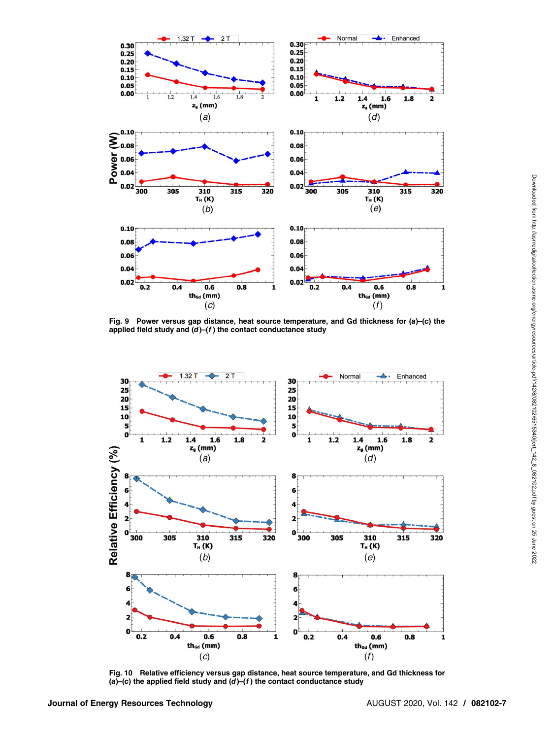<span id="page-6-0"></span>

Fig. 9 Power versus gap distance, heat source temperature, and Gd thickness for (a)–(c) the applied field study and  $(d)$ – $(f)$  the contact conductance study



Fig. 10 Relative efficiency versus gap distance, heat source temperature, and Gd thickness for (a)–(c) the applied field study and  $(d)$ – $(f)$  the contact conductance study